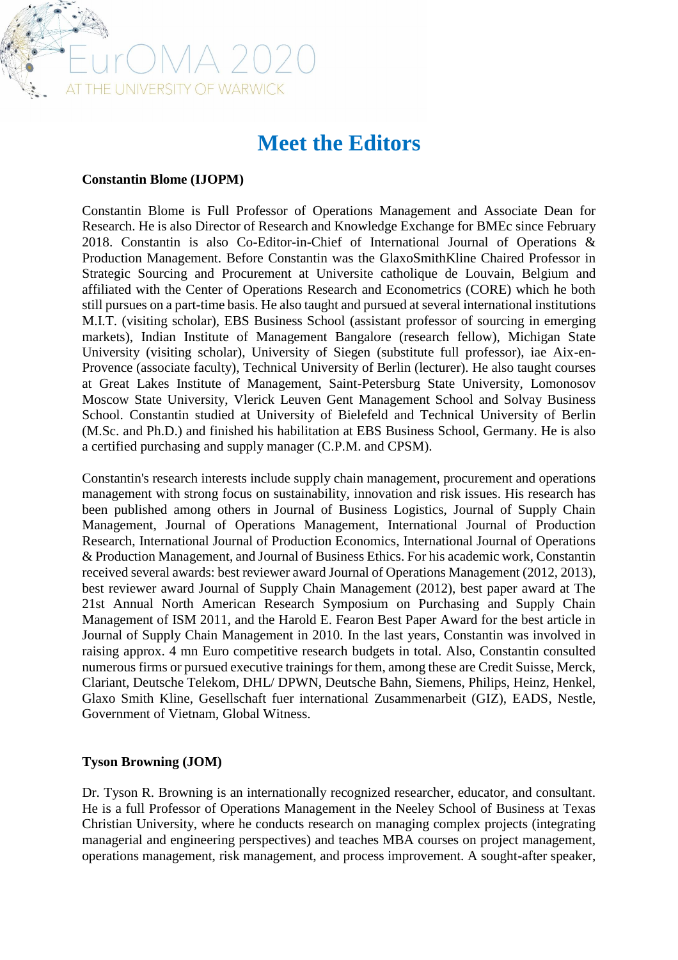

# **Meet the Editors**

## **Constantin Blome (IJOPM)**

Constantin Blome is Full Professor of Operations Management and Associate Dean for Research. He is also Director of Research and Knowledge Exchange for BMEc since February 2018. Constantin is also Co-Editor-in-Chief of International Journal of Operations & Production Management. Before Constantin was the GlaxoSmithKline Chaired Professor in Strategic Sourcing and Procurement at Universite catholique de Louvain, Belgium and affiliated with the Center of Operations Research and Econometrics (CORE) which he both still pursues on a part-time basis. He also taught and pursued at several international institutions M.I.T. (visiting scholar), EBS Business School (assistant professor of sourcing in emerging markets), Indian Institute of Management Bangalore (research fellow), Michigan State University (visiting scholar), University of Siegen (substitute full professor), iae Aix-en-Provence (associate faculty), Technical University of Berlin (lecturer). He also taught courses at Great Lakes Institute of Management, Saint-Petersburg State University, Lomonosov Moscow State University, Vlerick Leuven Gent Management School and Solvay Business School. Constantin studied at University of Bielefeld and Technical University of Berlin (M.Sc. and Ph.D.) and finished his habilitation at EBS Business School, Germany. He is also a certified purchasing and supply manager (C.P.M. and CPSM).

Constantin's research interests include supply chain management, procurement and operations management with strong focus on sustainability, innovation and risk issues. His research has been published among others in Journal of Business Logistics, Journal of Supply Chain Management, Journal of Operations Management, International Journal of Production Research, International Journal of Production Economics, International Journal of Operations & Production Management, and Journal of Business Ethics. For his academic work, Constantin received several awards: best reviewer award Journal of Operations Management (2012, 2013), best reviewer award Journal of Supply Chain Management (2012), best paper award at The 21st Annual North American Research Symposium on Purchasing and Supply Chain Management of ISM 2011, and the Harold E. Fearon Best Paper Award for the best article in Journal of Supply Chain Management in 2010. In the last years, Constantin was involved in raising approx. 4 mn Euro competitive research budgets in total. Also, Constantin consulted numerous firms or pursued executive trainings for them, among these are Credit Suisse, Merck, Clariant, Deutsche Telekom, DHL/ DPWN, Deutsche Bahn, Siemens, Philips, Heinz, Henkel, Glaxo Smith Kline, Gesellschaft fuer international Zusammenarbeit (GIZ), EADS, Nestle, Government of Vietnam, Global Witness.

## **Tyson Browning (JOM)**

Dr. Tyson R. Browning is an internationally recognized researcher, educator, and consultant. He is a full Professor of Operations Management in the Neeley School of Business at Texas Christian University, where he conducts research on managing complex projects (integrating managerial and engineering perspectives) and teaches MBA courses on project management, operations management, risk management, and process improvement. A sought-after speaker,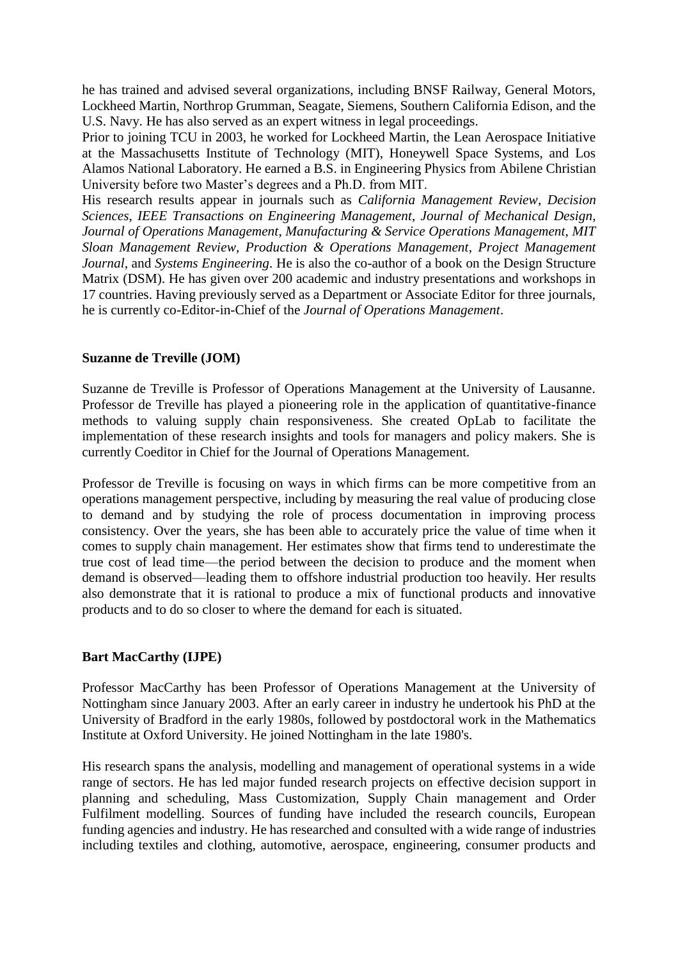he has trained and advised several organizations, including BNSF Railway, General Motors, Lockheed Martin, Northrop Grumman, Seagate, Siemens, Southern California Edison, and the U.S. Navy. He has also served as an expert witness in legal proceedings.

Prior to joining TCU in 2003, he worked for Lockheed Martin, the Lean Aerospace Initiative at the Massachusetts Institute of Technology (MIT), Honeywell Space Systems, and Los Alamos National Laboratory. He earned a B.S. in Engineering Physics from Abilene Christian University before two Master's degrees and a Ph.D. from MIT.

His research results appear in journals such as *California Management Review*, *Decision Sciences*, *IEEE Transactions on Engineering Management*, *Journal of Mechanical Design*, *Journal of Operations Management*, *Manufacturing & Service Operations Management, MIT Sloan Management Review, Production & Operations Management*, *Project Management Journal*, and *Systems Engineering*. He is also the co-author of a book on the Design Structure Matrix (DSM). He has given over 200 academic and industry presentations and workshops in 17 countries. Having previously served as a Department or Associate Editor for three journals, he is currently co-Editor-in-Chief of the *Journal of Operations Management*.

## **Suzanne de Treville (JOM)**

Suzanne de Treville is Professor of Operations Management at the University of Lausanne. Professor de Treville has played a pioneering role in the application of quantitative-finance methods to valuing supply chain responsiveness. She created OpLab to facilitate the implementation of these research insights and tools for managers and policy makers. She is currently Coeditor in Chief for the Journal of Operations Management.

Professor de Treville is focusing on ways in which firms can be more competitive from an operations management perspective, including by measuring the real value of producing close to demand and by studying the role of process documentation in improving process consistency. Over the years, she has been able to accurately price the value of time when it comes to supply chain management. Her estimates show that firms tend to underestimate the true cost of lead time—the period between the decision to produce and the moment when demand is observed—leading them to offshore industrial production too heavily. Her results also demonstrate that it is rational to produce a mix of functional products and innovative products and to do so closer to where the demand for each is situated.

## **Bart MacCarthy (IJPE)**

Professor MacCarthy has been Professor of Operations Management at the University of Nottingham since January 2003. After an early career in industry he undertook his PhD at the University of Bradford in the early 1980s, followed by postdoctoral work in the Mathematics Institute at Oxford University. He joined Nottingham in the late 1980's.

His research spans the analysis, modelling and management of operational systems in a wide range of sectors. He has led major funded research projects on effective decision support in planning and scheduling, Mass Customization, Supply Chain management and Order Fulfilment modelling. Sources of funding have included the research councils, European funding agencies and industry. He has researched and consulted with a wide range of industries including textiles and clothing, automotive, aerospace, engineering, consumer products and